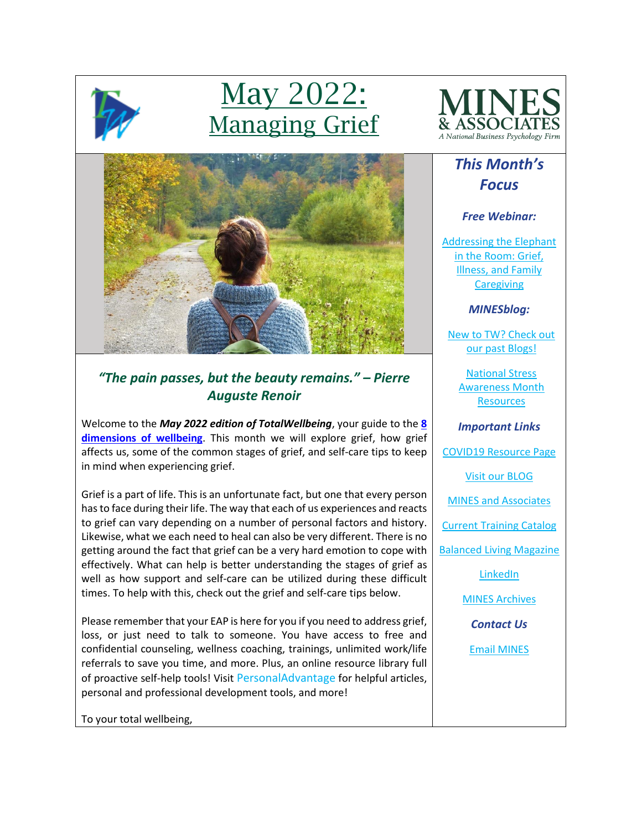

# May 2022: Managing Grief



### *"The pain passes, but the beauty remains." – Pierre Auguste Renoir*

Welcome to the *May 2022 edition of TotalWellbeing*, your guide to the **[8](https://www.youtube.com/watch?v=tDzQdRvLAfM)  [dimensions of wellbeing](https://www.youtube.com/watch?v=tDzQdRvLAfM)**. This month we will explore grief, how grief affects us, some of the common stages of grief, and self-care tips to keep in mind when experiencing grief.

Grief is a part of life. This is an unfortunate fact, but one that every person has to face during their life. The way that each of us experiences and reacts to grief can vary depending on a number of personal factors and history. Likewise, what we each need to heal can also be very different. There is no getting around the fact that grief can be a very hard emotion to cope with effectively. What can help is better understanding the stages of grief as well as how support and self-care can be utilized during these difficult times. To help with this, check out the grief and self-care tips below.

Please remember that your EAP is here for you if you need to address grief, loss, or just need to talk to someone. You have access to free and confidential counseling, wellness coaching, trainings, unlimited work/life referrals to save you time, and more. Plus, an online resource library full of proactive self-help tools! Visit [PersonalAdvantage](https://mines.personaladvantage.com/) for helpful articles, personal and professional development tools, and more!

To your total wellbeing,



## *This Month's Focus*

#### *Free Webinar:*

[Addressing the Elephant](https://mines.personaladvantage.com/section.jsp?module=section_100)  [in the Room: Grief,](https://mines.personaladvantage.com/section.jsp?module=section_100)  [Illness, and Family](https://mines.personaladvantage.com/section.jsp?module=section_100)  **[Caregiving](https://mines.personaladvantage.com/section.jsp?module=section_100)** 

#### *MINESblog:*

[New to TW? Check out](https://minesblog.wordpress.com/)  [our past Blogs!](https://minesblog.wordpress.com/)

> [National Stress](https://minesblog.wordpress.com/2022/04/05/national-stress-awareness-month/)  [Awareness Month](https://minesblog.wordpress.com/2022/04/05/national-stress-awareness-month/)  **[Resources](https://minesblog.wordpress.com/2022/04/05/national-stress-awareness-month/)**

#### *Important Links*

[COVID19 Resource Page](http://www.minesandassociates.com/Covid19_resources.html)

[Visit our BLOG](http://minesblog.wordpress.com/)

[MINES and Associates](http://www.minesandassociates.com/)

[Current Training Catalog](http://www.minesandassociates.com/Training_Main.html)

[Balanced Living Magazine](http://www.minesandassociates.com/newsletters.html)

[LinkedIn](https://www.linkedin.com/company/mines-and-associates)

[MINES Archives](http://www.minesandassociates.com/newsletters.html)

*Contact Us*

[Email MINES](mailto:communications@MINESandAssociates.com)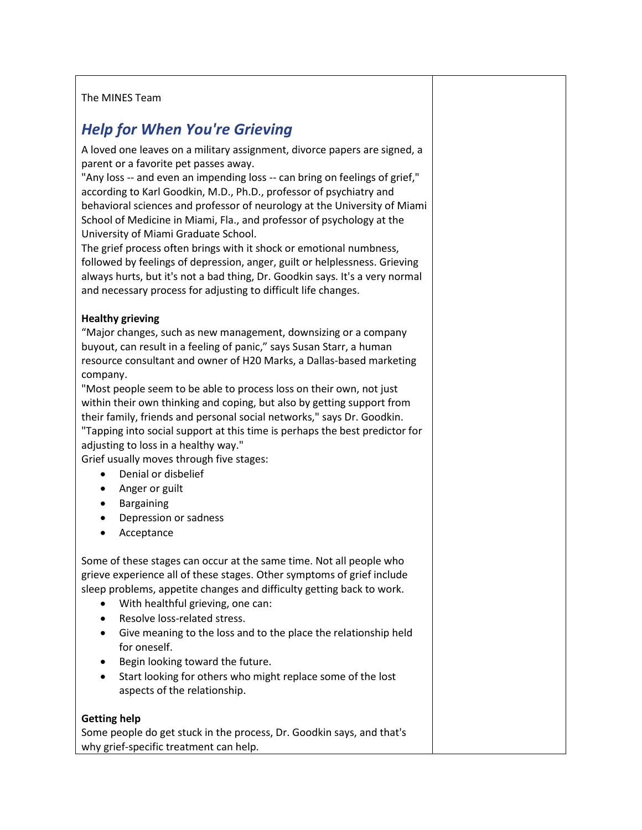#### The MINES Team

## *Help for When You're Grieving*

A loved one leaves on a military assignment, divorce papers are signed, a parent or a favorite pet passes away.

"Any loss -- and even an impending loss -- can bring on feelings of grief," according to Karl Goodkin, M.D., Ph.D., professor of psychiatry and behavioral sciences and professor of neurology at the University of Miami School of Medicine in Miami, Fla., and professor of psychology at the University of Miami Graduate School.

The grief process often brings with it shock or emotional numbness, followed by feelings of depression, anger, guilt or helplessness. Grieving always hurts, but it's not a bad thing, Dr. Goodkin says. It's a very normal and necessary process for adjusting to difficult life changes.

#### **Healthy grieving**

"Major changes, such as new management, downsizing or a company buyout, can result in a feeling of panic," says Susan Starr, a human resource consultant and owner of H20 Marks, a Dallas-based marketing company.

"Most people seem to be able to process loss on their own, not just within their own thinking and coping, but also by getting support from their family, friends and personal social networks," says Dr. Goodkin. "Tapping into social support at this time is perhaps the best predictor for adjusting to loss in a healthy way."

Grief usually moves through five stages:

- Denial or disbelief
- Anger or guilt
- Bargaining
- Depression or sadness
- Acceptance

Some of these stages can occur at the same time. Not all people who grieve experience all of these stages. Other symptoms of grief include sleep problems, appetite changes and difficulty getting back to work.

- With healthful grieving, one can:
- Resolve loss-related stress.
- Give meaning to the loss and to the place the relationship held for oneself.
- Begin looking toward the future.
- Start looking for others who might replace some of the lost aspects of the relationship.

#### **Getting help**

Some people do get stuck in the process, Dr. Goodkin says, and that's why grief-specific treatment can help.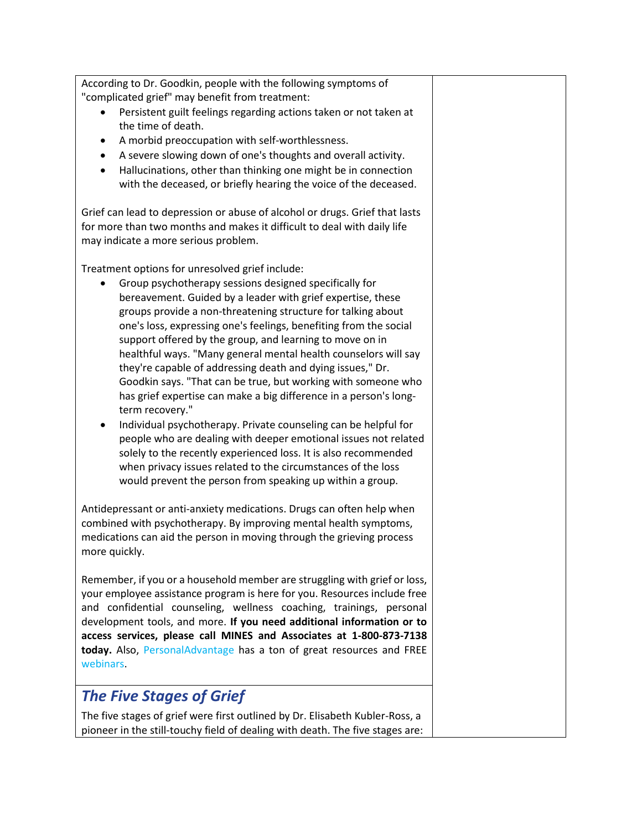According to Dr. Goodkin, people with the following symptoms of "complicated grief" may benefit from treatment:

- Persistent guilt feelings regarding actions taken or not taken at the time of death.
- A morbid preoccupation with self-worthlessness.
- A severe slowing down of one's thoughts and overall activity.
- Hallucinations, other than thinking one might be in connection with the deceased, or briefly hearing the voice of the deceased.

Grief can lead to depression or abuse of alcohol or drugs. Grief that lasts for more than two months and makes it difficult to deal with daily life may indicate a more serious problem.

Treatment options for unresolved grief include:

- Group psychotherapy sessions designed specifically for bereavement. Guided by a leader with grief expertise, these groups provide a non-threatening structure for talking about one's loss, expressing one's feelings, benefiting from the social support offered by the group, and learning to move on in healthful ways. "Many general mental health counselors will say they're capable of addressing death and dying issues," Dr. Goodkin says. "That can be true, but working with someone who has grief expertise can make a big difference in a person's longterm recovery."
- Individual psychotherapy. Private counseling can be helpful for people who are dealing with deeper emotional issues not related solely to the recently experienced loss. It is also recommended when privacy issues related to the circumstances of the loss would prevent the person from speaking up within a group.

Antidepressant or anti-anxiety medications. Drugs can often help when combined with psychotherapy. By improving mental health symptoms, medications can aid the person in moving through the grieving process more quickly.

Remember, if you or a household member are struggling with grief or loss, your employee assistance program is here for you. Resources include free and confidential counseling, wellness coaching, trainings, personal development tools, and more. **If you need additional information or to access services, please call MINES and Associates at 1-800-873-7138 today.** Also, [PersonalAdvantage](https://mines.personaladvantage.com/) has a ton of great resources and FREE [webinars.](https://mines.personaladvantage.com/section.jsp?module=section_100)

## *The Five Stages of Grief*

The five stages of grief were first outlined by Dr. Elisabeth Kubler-Ross, a pioneer in the still-touchy field of dealing with death. The five stages are: